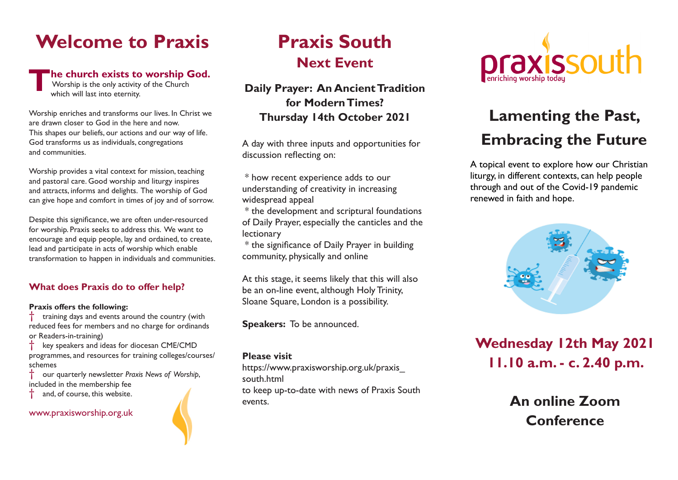# **Welcome to Praxis**

### **The church exists to worship God.**

 Worship is the only activity of the Church which will last into eternity.

Worship enriches and transforms our lives. In Christ we are drawn closer to God in the here and now. This shapes our beliefs, our actions and our way of life. God transforms us as individuals, congregations and communities.

Worship provides a vital context for mission, teaching and pastoral care. Good worship and liturgy inspires and attracts, informs and delights. The worship of God can give hope and comfort in times of joy and of sorrow.

Despite this significance, we are often under-resourced for worship. Praxis seeks to address this. We want to encourage and equip people, lay and ordained, to create, lead and participate in acts of worship which enable transformation to happen in individuals and communities.

### **What does Praxis do to offer help?**

### **Praxis offers the following:**

† training days and events around the country (with reduced fees for members and no charge for ordinands or Readers-in-training)

key speakers and ideas for diocesan CME/CMD programmes, and resources for training colleges/courses/ schemes

† our quarterly newsletter *Praxis News of Worship*, included in the membership fee

and, of course, this website.

www.praxisworship.org.uk

# **Praxis South Next Event**

**Daily Prayer: An Ancient Tradition for Modern Times? Thursday 14th October 2021**

A day with three inputs and opportunities for discussion reflecting on:

 \* how recent experience adds to our understanding of creativity in increasing widespread appeal

 \* the development and scriptural foundations of Daily Prayer, especially the canticles and the lectionary

 \* the significance of Daily Prayer in building community, physically and online

At this stage, it seems likely that this will also be an on-line event, although Holy Trinity, Sloane Square, London is a possibility.

**Speakers:** To be announced.

### **Please visit**

https://www.praxisworship.org.uk/praxis\_ south.html

to keep up-to-date with news of Praxis South events.



# **Lamenting the Past, Embracing the Future**

A topical event to explore how our Christian liturgy, in different contexts, can help people through and out of the Covid-19 pandemic renewed in faith and hope.



**Wednesday 12th May 2021 11.10 a.m. - c. 2.40 p.m.**

> **An online Zoom Conference**